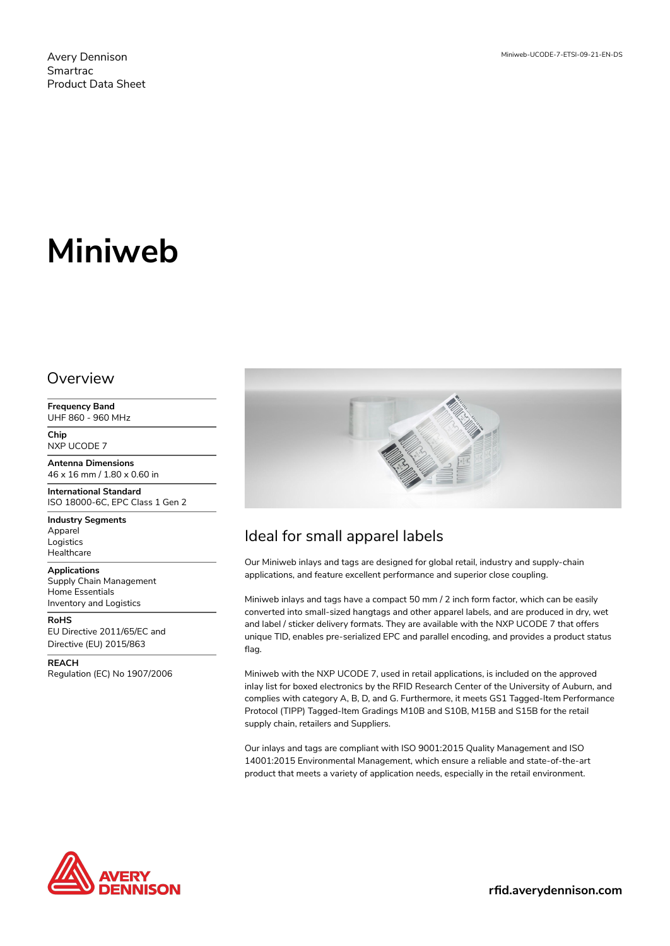# **Miniweb**

#### Overview

**Frequency Band** UHF 860 - 960 MHz

**Chip** NXP UCODE 7

**Antenna Dimensions** 46 x 16 mm / 1.80 x 0.60 in

**International Standard** ISO 18000-6C, EPC Class 1 Gen 2

**Industry Segments** Apparel Logistics **Healthcare** 

**Applications** Supply Chain Management Home Essentials Inventory and Logistics

**RoHS** EU Directive 2011/65/EC and Directive (EU) 2015/863

**REACH** Regulation (EC) No 1907/2006



## Ideal for small apparel labels

Our Miniweb inlays and tags are designed for global retail, industry and supply-chain applications, and feature excellent performance and superior close coupling.

Miniweb inlays and tags have a compact 50 mm / 2 inch form factor, which can be easily converted into small-sized hangtags and other apparel labels, and are produced in dry, wet and label / sticker delivery formats. They are available with the NXP UCODE 7 that offers unique TID, enables pre-serialized EPC and parallel encoding, and provides a product status flag.

Miniweb with the NXP UCODE 7, used in retail applications, is included on the approved inlay list for boxed electronics by the RFID Research Center of the University of Auburn, and complies with category A, B, D, and G. Furthermore, it meets GS1 Tagged-Item Performance Protocol (TIPP) Tagged-Item Gradings M10B and S10B, M15B and S15B for the retail supply chain, retailers and Suppliers.

Our inlays and tags are compliant with ISO 9001:2015 Quality Management and ISO 14001:2015 Environmental Management, which ensure a reliable and state-of-the-art product that meets a variety of application needs, especially in the retail environment.